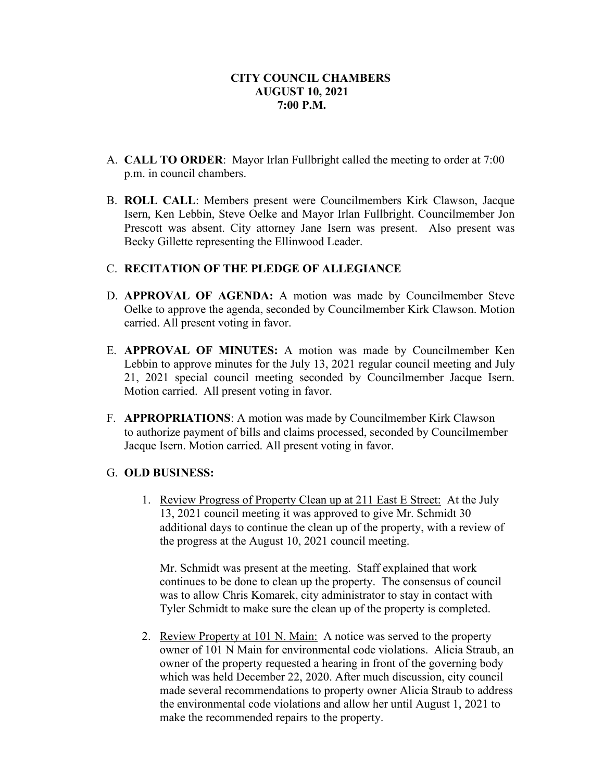- A. **CALL TO ORDER**: Mayor Irlan Fullbright called the meeting to order at 7:00 p.m. in council chambers.
- B. **ROLL CALL**: Members present were Councilmembers Kirk Clawson, Jacque Isern, Ken Lebbin, Steve Oelke and Mayor Irlan Fullbright. Councilmember Jon Prescott was absent. City attorney Jane Isern was present. Also present was Becky Gillette representing the Ellinwood Leader.

# C. **RECITATION OF THE PLEDGE OF ALLEGIANCE**

- D. **APPROVAL OF AGENDA:** A motion was made by Councilmember Steve Oelke to approve the agenda, seconded by Councilmember Kirk Clawson. Motion carried. All present voting in favor.
- E. **APPROVAL OF MINUTES:** A motion was made by Councilmember Ken Lebbin to approve minutes for the July 13, 2021 regular council meeting and July 21, 2021 special council meeting seconded by Councilmember Jacque Isern. Motion carried. All present voting in favor.
- F. **APPROPRIATIONS**: A motion was made by Councilmember Kirk Clawson to authorize payment of bills and claims processed, seconded by Councilmember Jacque Isern. Motion carried. All present voting in favor.

## G. **OLD BUSINESS:**

 1. Review Progress of Property Clean up at 211 East E Street: At the July 13, 2021 council meeting it was approved to give Mr. Schmidt 30 additional days to continue the clean up of the property, with a review of the progress at the August 10, 2021 council meeting.

Mr. Schmidt was present at the meeting. Staff explained that work continues to be done to clean up the property. The consensus of council was to allow Chris Komarek, city administrator to stay in contact with Tyler Schmidt to make sure the clean up of the property is completed.

2. Review Property at 101 N. Main: A notice was served to the property owner of 101 N Main for environmental code violations. Alicia Straub, an owner of the property requested a hearing in front of the governing body which was held December 22, 2020. After much discussion, city council made several recommendations to property owner Alicia Straub to address the environmental code violations and allow her until August 1, 2021 to make the recommended repairs to the property.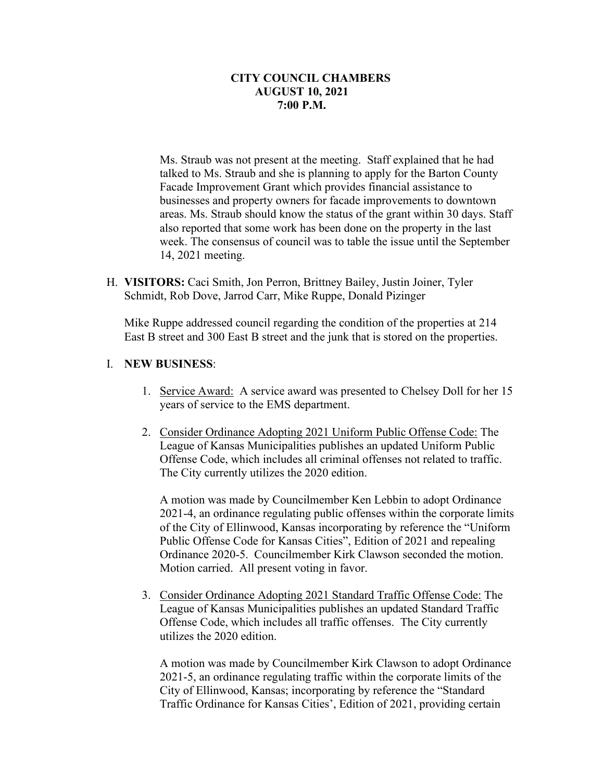Ms. Straub was not present at the meeting. Staff explained that he had talked to Ms. Straub and she is planning to apply for the Barton County Facade Improvement Grant which provides financial assistance to businesses and property owners for facade improvements to downtown areas. Ms. Straub should know the status of the grant within 30 days. Staff also reported that some work has been done on the property in the last week. The consensus of council was to table the issue until the September 14, 2021 meeting.

H. **VISITORS:** Caci Smith, Jon Perron, Brittney Bailey, Justin Joiner, Tyler Schmidt, Rob Dove, Jarrod Carr, Mike Ruppe, Donald Pizinger

Mike Ruppe addressed council regarding the condition of the properties at 214 East B street and 300 East B street and the junk that is stored on the properties.

## I. **NEW BUSINESS**:

- 1. Service Award: A service award was presented to Chelsey Doll for her 15 years of service to the EMS department.
- 2. Consider Ordinance Adopting 2021 Uniform Public Offense Code: The League of Kansas Municipalities publishes an updated Uniform Public Offense Code, which includes all criminal offenses not related to traffic. The City currently utilizes the 2020 edition.

A motion was made by Councilmember Ken Lebbin to adopt Ordinance 2021-4, an ordinance regulating public offenses within the corporate limits of the City of Ellinwood, Kansas incorporating by reference the "Uniform Public Offense Code for Kansas Cities", Edition of 2021 and repealing Ordinance 2020-5. Councilmember Kirk Clawson seconded the motion. Motion carried. All present voting in favor.

3. Consider Ordinance Adopting 2021 Standard Traffic Offense Code: The League of Kansas Municipalities publishes an updated Standard Traffic Offense Code, which includes all traffic offenses. The City currently utilizes the 2020 edition.

A motion was made by Councilmember Kirk Clawson to adopt Ordinance 2021-5, an ordinance regulating traffic within the corporate limits of the City of Ellinwood, Kansas; incorporating by reference the "Standard Traffic Ordinance for Kansas Cities', Edition of 2021, providing certain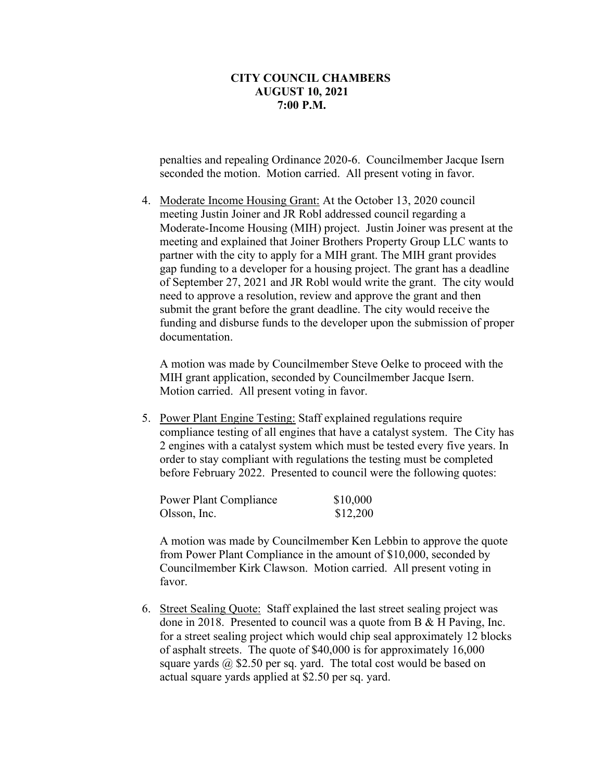penalties and repealing Ordinance 2020-6. Councilmember Jacque Isern seconded the motion. Motion carried. All present voting in favor.

4. Moderate Income Housing Grant: At the October 13, 2020 council meeting Justin Joiner and JR Robl addressed council regarding a Moderate-Income Housing (MIH) project. Justin Joiner was present at the meeting and explained that Joiner Brothers Property Group LLC wants to partner with the city to apply for a MIH grant. The MIH grant provides gap funding to a developer for a housing project. The grant has a deadline of September 27, 2021 and JR Robl would write the grant. The city would need to approve a resolution, review and approve the grant and then submit the grant before the grant deadline. The city would receive the funding and disburse funds to the developer upon the submission of proper documentation.

A motion was made by Councilmember Steve Oelke to proceed with the MIH grant application, seconded by Councilmember Jacque Isern. Motion carried. All present voting in favor.

5. Power Plant Engine Testing: Staff explained regulations require compliance testing of all engines that have a catalyst system. The City has 2 engines with a catalyst system which must be tested every five years. In order to stay compliant with regulations the testing must be completed before February 2022. Presented to council were the following quotes:

| Power Plant Compliance | \$10,000 |
|------------------------|----------|
| Olsson, Inc.           | \$12,200 |

A motion was made by Councilmember Ken Lebbin to approve the quote from Power Plant Compliance in the amount of \$10,000, seconded by Councilmember Kirk Clawson. Motion carried. All present voting in favor.

6. Street Sealing Quote: Staff explained the last street sealing project was done in 2018. Presented to council was a quote from B & H Paving, Inc. for a street sealing project which would chip seal approximately 12 blocks of asphalt streets. The quote of \$40,000 is for approximately 16,000 square yards  $\omega$ , \$2.50 per sq. yard. The total cost would be based on actual square yards applied at \$2.50 per sq. yard.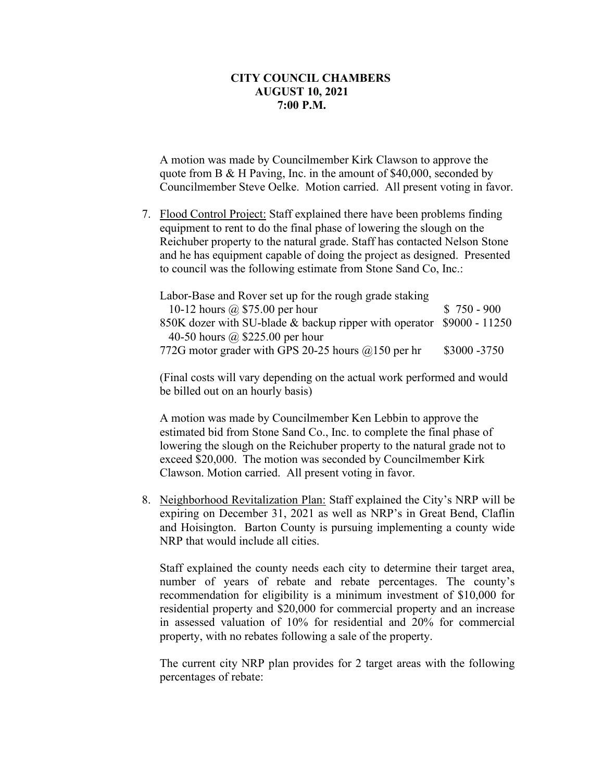A motion was made by Councilmember Kirk Clawson to approve the quote from B & H Paving, Inc. in the amount of \$40,000, seconded by Councilmember Steve Oelke. Motion carried. All present voting in favor.

7. Flood Control Project: Staff explained there have been problems finding equipment to rent to do the final phase of lowering the slough on the Reichuber property to the natural grade. Staff has contacted Nelson Stone and he has equipment capable of doing the project as designed. Presented to council was the following estimate from Stone Sand Co, Inc.:

Labor-Base and Rover set up for the rough grade staking 10-12 hours @ \$75.00 per hour \$ 750 - 900 850K dozer with SU-blade & backup ripper with operator \$9000 - 11250 40-50 hours @ \$225.00 per hour 772G motor grader with GPS 20-25 hours  $\omega$ 150 per hr \$3000 -3750

(Final costs will vary depending on the actual work performed and would be billed out on an hourly basis)

A motion was made by Councilmember Ken Lebbin to approve the estimated bid from Stone Sand Co., Inc. to complete the final phase of lowering the slough on the Reichuber property to the natural grade not to exceed \$20,000. The motion was seconded by Councilmember Kirk Clawson. Motion carried. All present voting in favor.

8. Neighborhood Revitalization Plan: Staff explained the City's NRP will be expiring on December 31, 2021 as well as NRP's in Great Bend, Claflin and Hoisington. Barton County is pursuing implementing a county wide NRP that would include all cities.

Staff explained the county needs each city to determine their target area, number of years of rebate and rebate percentages. The county's recommendation for eligibility is a minimum investment of \$10,000 for residential property and \$20,000 for commercial property and an increase in assessed valuation of 10% for residential and 20% for commercial property, with no rebates following a sale of the property.

The current city NRP plan provides for 2 target areas with the following percentages of rebate: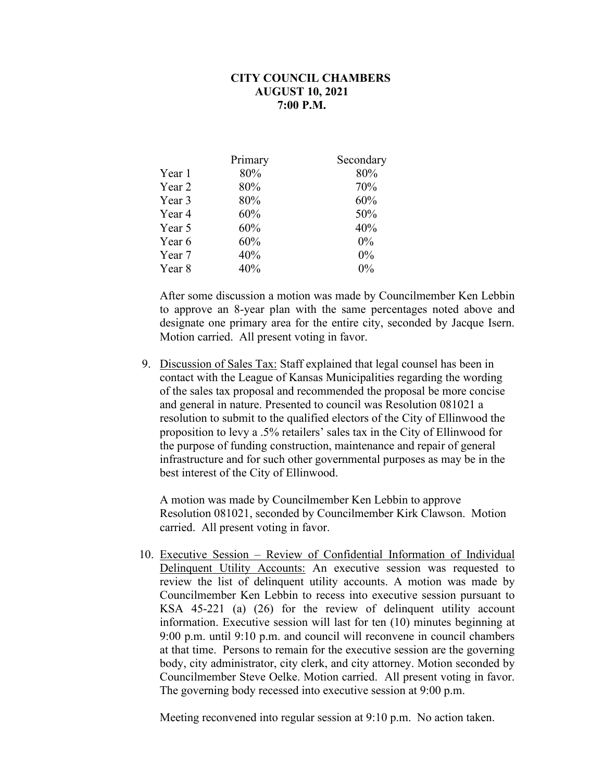| Primary | Secondary |
|---------|-----------|
| 80%     | 80%       |
| 80%     | 70%       |
| 80%     | 60%       |
| 60%     | 50%       |
| 60%     | 40%       |
| 60%     | $0\%$     |
| 40%     | $0\%$     |
| 40%     | $0\%$     |
|         |           |

After some discussion a motion was made by Councilmember Ken Lebbin to approve an 8-year plan with the same percentages noted above and designate one primary area for the entire city, seconded by Jacque Isern. Motion carried. All present voting in favor.

9. Discussion of Sales Tax: Staff explained that legal counsel has been in contact with the League of Kansas Municipalities regarding the wording of the sales tax proposal and recommended the proposal be more concise and general in nature. Presented to council was Resolution 081021 a resolution to submit to the qualified electors of the City of Ellinwood the proposition to levy a .5% retailers' sales tax in the City of Ellinwood for the purpose of funding construction, maintenance and repair of general infrastructure and for such other governmental purposes as may be in the best interest of the City of Ellinwood.

A motion was made by Councilmember Ken Lebbin to approve Resolution 081021, seconded by Councilmember Kirk Clawson. Motion carried. All present voting in favor.

10. Executive Session – Review of Confidential Information of Individual Delinquent Utility Accounts: An executive session was requested to review the list of delinquent utility accounts. A motion was made by Councilmember Ken Lebbin to recess into executive session pursuant to KSA 45-221 (a) (26) for the review of delinquent utility account information. Executive session will last for ten (10) minutes beginning at 9:00 p.m. until 9:10 p.m. and council will reconvene in council chambers at that time. Persons to remain for the executive session are the governing body, city administrator, city clerk, and city attorney. Motion seconded by Councilmember Steve Oelke. Motion carried. All present voting in favor. The governing body recessed into executive session at 9:00 p.m.

Meeting reconvened into regular session at 9:10 p.m. No action taken.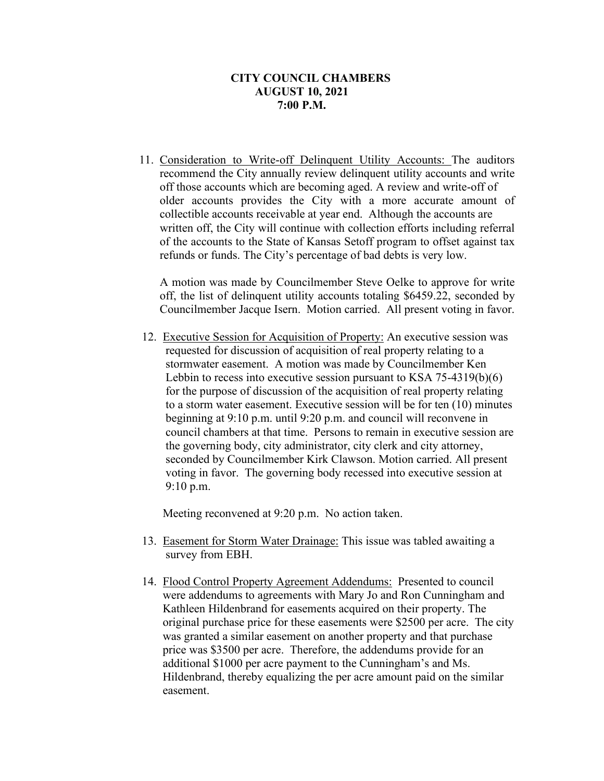11. Consideration to Write-off Delinquent Utility Accounts: The auditors recommend the City annually review delinquent utility accounts and write off those accounts which are becoming aged. A review and write-off of older accounts provides the City with a more accurate amount of collectible accounts receivable at year end. Although the accounts are written off, the City will continue with collection efforts including referral of the accounts to the State of Kansas Setoff program to offset against tax refunds or funds. The City's percentage of bad debts is very low.

A motion was made by Councilmember Steve Oelke to approve for write off, the list of delinquent utility accounts totaling \$6459.22, seconded by Councilmember Jacque Isern. Motion carried. All present voting in favor.

12. Executive Session for Acquisition of Property: An executive session was requested for discussion of acquisition of real property relating to a stormwater easement. A motion was made by Councilmember Ken Lebbin to recess into executive session pursuant to KSA 75-4319(b)(6) for the purpose of discussion of the acquisition of real property relating to a storm water easement. Executive session will be for ten (10) minutes beginning at 9:10 p.m. until 9:20 p.m. and council will reconvene in council chambers at that time. Persons to remain in executive session are the governing body, city administrator, city clerk and city attorney, seconded by Councilmember Kirk Clawson. Motion carried. All present voting in favor. The governing body recessed into executive session at 9:10 p.m.

Meeting reconvened at 9:20 p.m. No action taken.

- 13. Easement for Storm Water Drainage: This issue was tabled awaiting a survey from EBH.
- 14. Flood Control Property Agreement Addendums: Presented to council were addendums to agreements with Mary Jo and Ron Cunningham and Kathleen Hildenbrand for easements acquired on their property. The original purchase price for these easements were \$2500 per acre. The city was granted a similar easement on another property and that purchase price was \$3500 per acre. Therefore, the addendums provide for an additional \$1000 per acre payment to the Cunningham's and Ms. Hildenbrand, thereby equalizing the per acre amount paid on the similar easement.